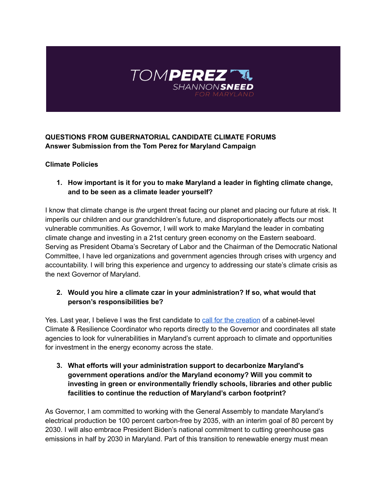

## **QUESTIONS FROM GUBERNATORIAL CANDIDATE CLIMATE FORUMS Answer Submission from the Tom Perez for Maryland Campaign**

#### **Climate Policies**

**1. How important is it for you to make Maryland a leader in fighting climate change, and to be seen as a climate leader yourself?**

I know that climate change is *the* urgent threat facing our planet and placing our future at risk. It imperils our children and our grandchildren's future, and disproportionately affects our most vulnerable communities. As Governor, I will work to make Maryland the leader in combating climate change and investing in a 21st century green economy on the Eastern seaboard. Serving as President Obama's Secretary of Labor and the Chairman of the Democratic National Committee, I have led organizations and government agencies through crises with urgency and accountability. I will bring this experience and urgency to addressing our state's climate crisis as the next Governor of Maryland.

## **2. Would you hire a climate czar in your administration? If so, what would that person's responsibilities be?**

Yes. Last year, I believe I was the first candidate to call for the [creation](https://www.marylandmatters.org/2021/11/17/perez-sees-the-good-in-government-and-imagines-big-things-on-climate-change/) of a cabinet-level Climate & Resilience Coordinator who reports directly to the Governor and coordinates all state agencies to look for vulnerabilities in Maryland's current approach to climate and opportunities for investment in the energy economy across the state.

**3. What efforts will your administration support to decarbonize Maryland's government operations and/or the Maryland economy? Will you commit to investing in green or environmentally friendly schools, libraries and other public facilities to continue the reduction of Maryland's carbon footprint?**

As Governor, I am committed to working with the General Assembly to mandate Maryland's electrical production be 100 percent carbon-free by 2035, with an interim goal of 80 percent by 2030. I will also embrace President Biden's national commitment to cutting greenhouse gas emissions in half by 2030 in Maryland. Part of this transition to renewable energy must mean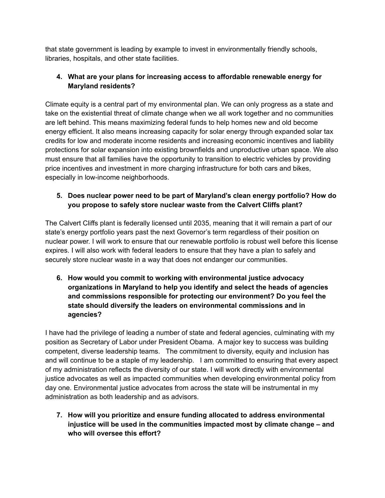that state government is leading by example to invest in environmentally friendly schools, libraries, hospitals, and other state facilities.

# **4. What are your plans for increasing access to affordable renewable energy for Maryland residents?**

Climate equity is a central part of my environmental plan. We can only progress as a state and take on the existential threat of climate change when we all work together and no communities are left behind. This means maximizing federal funds to help homes new and old become energy efficient. It also means increasing capacity for solar energy through expanded solar tax credits for low and moderate income residents and increasing economic incentives and liability protections for solar expansion into existing brownfields and unproductive urban space. We also must ensure that all families have the opportunity to transition to electric vehicles by providing price incentives and investment in more charging infrastructure for both cars and bikes, especially in low-income neighborhoods.

# **5. Does nuclear power need to be part of Maryland's clean energy portfolio? How do you propose to safely store nuclear waste from the Calvert Cliffs plant?**

The Calvert Cliffs plant is federally licensed until 2035, meaning that it will remain a part of our state's energy portfolio years past the next Governor's term regardless of their position on nuclear power. I will work to ensure that our renewable portfolio is robust well before this license expires. I will also work with federal leaders to ensure that they have a plan to safely and securely store nuclear waste in a way that does not endanger our communities.

**6. How would you commit to working with environmental justice advocacy organizations in Maryland to help you identify and select the heads of agencies and commissions responsible for protecting our environment? Do you feel the state should diversify the leaders on environmental commissions and in agencies?**

I have had the privilege of leading a number of state and federal agencies, culminating with my position as Secretary of Labor under President Obama. A major key to success was building competent, diverse leadership teams. The commitment to diversity, equity and inclusion has and will continue to be a staple of my leadership. I am committed to ensuring that every aspect of my administration reflects the diversity of our state. I will work directly with environmental justice advocates as well as impacted communities when developing environmental policy from day one. Environmental justice advocates from across the state will be instrumental in my administration as both leadership and as advisors.

**7. How will you prioritize and ensure funding allocated to address environmental injustice will be used in the communities impacted most by climate change – and who will oversee this effort?**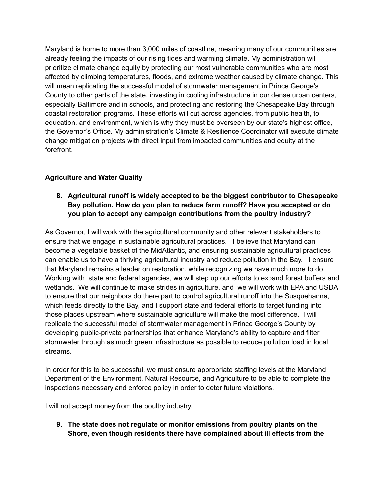Maryland is home to more than 3,000 miles of coastline, meaning many of our communities are already feeling the impacts of our rising tides and warming climate. My administration will prioritize climate change equity by protecting our most vulnerable communities who are most affected by climbing temperatures, floods, and extreme weather caused by climate change. This will mean replicating the successful model of stormwater management in Prince George's County to other parts of the state, investing in cooling infrastructure in our dense urban centers, especially Baltimore and in schools, and protecting and restoring the Chesapeake Bay through coastal restoration programs. These efforts will cut across agencies, from public health, to education, and environment, which is why they must be overseen by our state's highest office, the Governor's Office. My administration's Climate & Resilience Coordinator will execute climate change mitigation projects with direct input from impacted communities and equity at the forefront.

## **Agriculture and Water Quality**

## **8. Agricultural runoff is widely accepted to be the biggest contributor to Chesapeake Bay pollution. How do you plan to reduce farm runoff? Have you accepted or do you plan to accept any campaign contributions from the poultry industry?**

As Governor, I will work with the agricultural community and other relevant stakeholders to ensure that we engage in sustainable agricultural practices. I believe that Maryland can become a vegetable basket of the MidAtlantic, and ensuring sustainable agricultural practices can enable us to have a thriving agricultural industry and reduce pollution in the Bay. I ensure that Maryland remains a leader on restoration, while recognizing we have much more to do. Working with state and federal agencies, we will step up our efforts to expand forest buffers and wetlands. We will continue to make strides in agriculture, and we will work with EPA and USDA to ensure that our neighbors do there part to control agricultural runoff into the Susquehanna, which feeds directly to the Bay, and I support state and federal efforts to target funding into those places upstream where sustainable agriculture will make the most difference. I will replicate the successful model of stormwater management in Prince George's County by developing public-private partnerships that enhance Maryland's ability to capture and filter stormwater through as much green infrastructure as possible to reduce pollution load in local streams.

In order for this to be successful, we must ensure appropriate staffing levels at the Maryland Department of the Environment, Natural Resource, and Agriculture to be able to complete the inspections necessary and enforce policy in order to deter future violations.

I will not accept money from the poultry industry.

**9. The state does not regulate or monitor emissions from poultry plants on the Shore, even though residents there have complained about ill effects from the**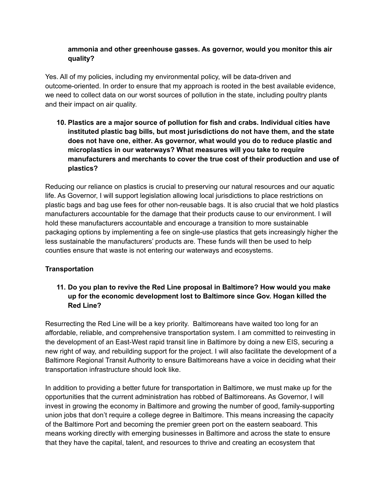#### **ammonia and other greenhouse gasses. As governor, would you monitor this air quality?**

Yes. All of my policies, including my environmental policy, will be data-driven and outcome-oriented. In order to ensure that my approach is rooted in the best available evidence, we need to collect data on our worst sources of pollution in the state, including poultry plants and their impact on air quality.

**10. Plastics are a major source of pollution for fish and crabs. Individual cities have instituted plastic bag bills, but most jurisdictions do not have them, and the state does not have one, either. As governor, what would you do to reduce plastic and microplastics in our waterways? What measures will you take to require manufacturers and merchants to cover the true cost of their production and use of plastics?**

Reducing our reliance on plastics is crucial to preserving our natural resources and our aquatic life. As Governor, I will support legislation allowing local jurisdictions to place restrictions on plastic bags and bag use fees for other non-reusable bags. It is also crucial that we hold plastics manufacturers accountable for the damage that their products cause to our environment. I will hold these manufacturers accountable and encourage a transition to more sustainable packaging options by implementing a fee on single-use plastics that gets increasingly higher the less sustainable the manufacturers' products are. These funds will then be used to help counties ensure that waste is not entering our waterways and ecosystems.

#### **Transportation**

## **11. Do you plan to revive the Red Line proposal in Baltimore? How would you make up for the economic development lost to Baltimore since Gov. Hogan killed the Red Line?**

Resurrecting the Red Line will be a key priority. Baltimoreans have waited too long for an affordable, reliable, and comprehensive transportation system. I am committed to reinvesting in the development of an East-West rapid transit line in Baltimore by doing a new EIS, securing a new right of way, and rebuilding support for the project. I will also facilitate the development of a Baltimore Regional Transit Authority to ensure Baltimoreans have a voice in deciding what their transportation infrastructure should look like.

In addition to providing a better future for transportation in Baltimore, we must make up for the opportunities that the current administration has robbed of Baltimoreans. As Governor, I will invest in growing the economy in Baltimore and growing the number of good, family-supporting union jobs that don't require a college degree in Baltimore. This means increasing the capacity of the Baltimore Port and becoming the premier green port on the eastern seaboard. This means working directly with emerging businesses in Baltimore and across the state to ensure that they have the capital, talent, and resources to thrive and creating an ecosystem that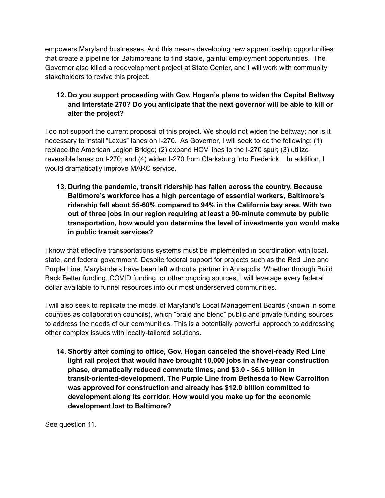empowers Maryland businesses. And this means developing new apprenticeship opportunities that create a pipeline for Baltimoreans to find stable, gainful employment opportunities. The Governor also killed a redevelopment project at State Center, and I will work with community stakeholders to revive this project.

## **12. Do you support proceeding with Gov. Hogan's plans to widen the Capital Beltway and Interstate 270? Do you anticipate that the next governor will be able to kill or alter the project?**

I do not support the current proposal of this project. We should not widen the beltway; nor is it necessary to install "Lexus" lanes on I-270. As Governor, I will seek to do the following: (1) replace the American Legion Bridge; (2) expand HOV lines to the I-270 spur; (3) utilize reversible lanes on I-270; and (4) widen I-270 from Clarksburg into Frederick. In addition, I would dramatically improve MARC service.

**13. During the pandemic, transit ridership has fallen across the country. Because Baltimore's workforce has a high percentage of essential workers, Baltimore's ridership fell about 55-60% compared to 94% in the California bay area. With two out of three jobs in our region requiring at least a 90-minute commute by public transportation, how would you determine the level of investments you would make in public transit services?**

I know that effective transportations systems must be implemented in coordination with local, state, and federal government. Despite federal support for projects such as the Red Line and Purple Line, Marylanders have been left without a partner in Annapolis. Whether through Build Back Better funding, COVID funding, or other ongoing sources, I will leverage every federal dollar available to funnel resources into our most underserved communities.

I will also seek to replicate the model of Maryland's Local Management Boards (known in some counties as collaboration councils), which "braid and blend" public and private funding sources to address the needs of our communities. This is a potentially powerful approach to addressing other complex issues with locally-tailored solutions.

**14. Shortly after coming to office, Gov. Hogan canceled the shovel-ready Red Line light rail project that would have brought 10,000 jobs in a five-year construction phase, dramatically reduced commute times, and \$3.0 - \$6.5 billion in transit-oriented-development. The Purple Line from Bethesda to New Carrollton was approved for construction and already has \$12.0 billion committed to development along its corridor. How would you make up for the economic development lost to Baltimore?**

See question 11.